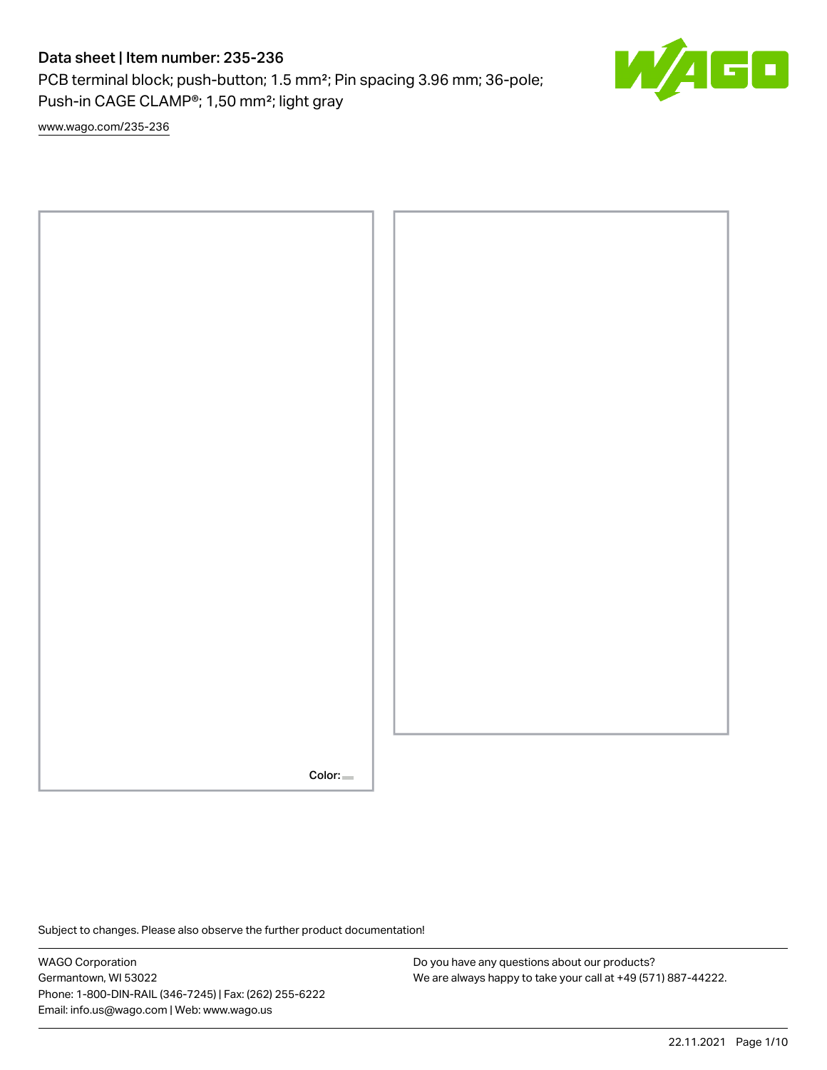PCB terminal block; push-button; 1.5 mm²; Pin spacing 3.96 mm; 36-pole; Push-in CAGE CLAMP®; 1,50 mm²; light gray

[www.wago.com/235-236](http://www.wago.com/235-236)



Subject to changes. Please also observe the further product documentation!

WAGO Corporation Germantown, WI 53022 Phone: 1-800-DIN-RAIL (346-7245) | Fax: (262) 255-6222 Email: info.us@wago.com | Web: www.wago.us

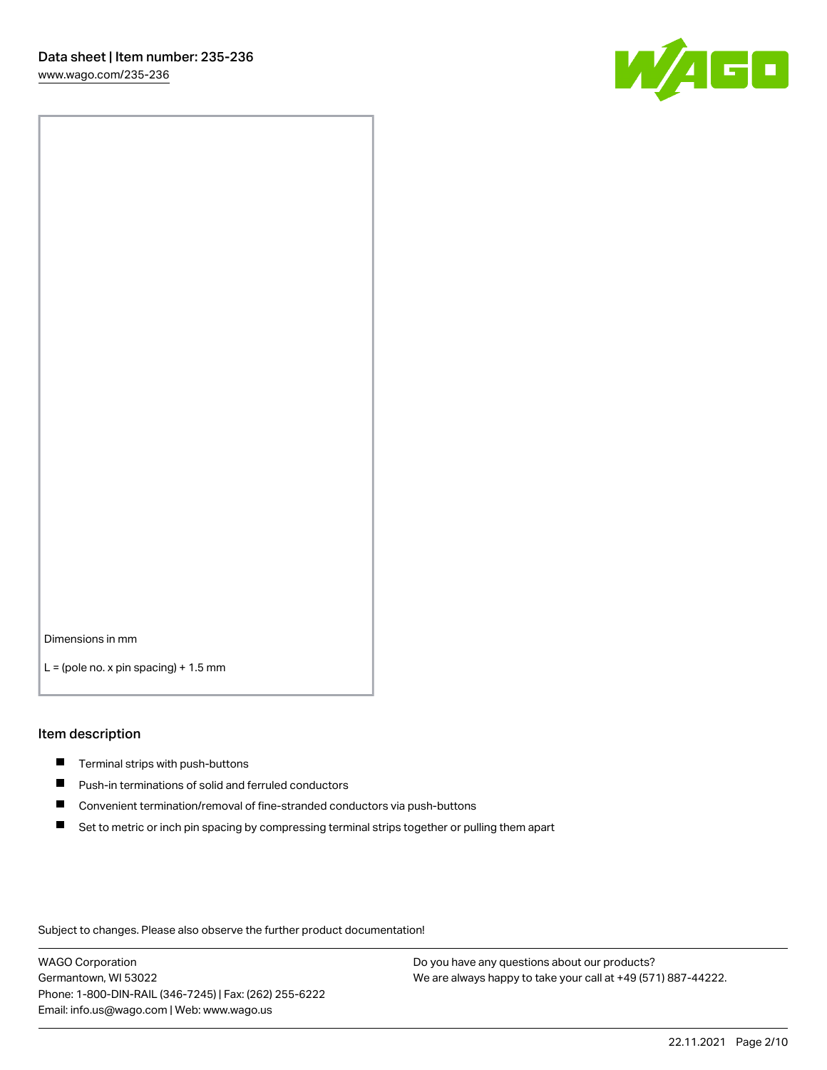

Dimensions in mm

 $L =$  (pole no. x pin spacing) + 1.5 mm

### Item description

- $\blacksquare$  Terminal strips with push-buttons
- $\blacksquare$ Push-in terminations of solid and ferruled conductors
- $\blacksquare$ Convenient termination/removal of fine-stranded conductors via push-buttons
- Set to metric or inch pin spacing by compressing terminal strips together or pulling them apart

Subject to changes. Please also observe the further product documentation!

WAGO Corporation Germantown, WI 53022 Phone: 1-800-DIN-RAIL (346-7245) | Fax: (262) 255-6222 Email: info.us@wago.com | Web: www.wago.us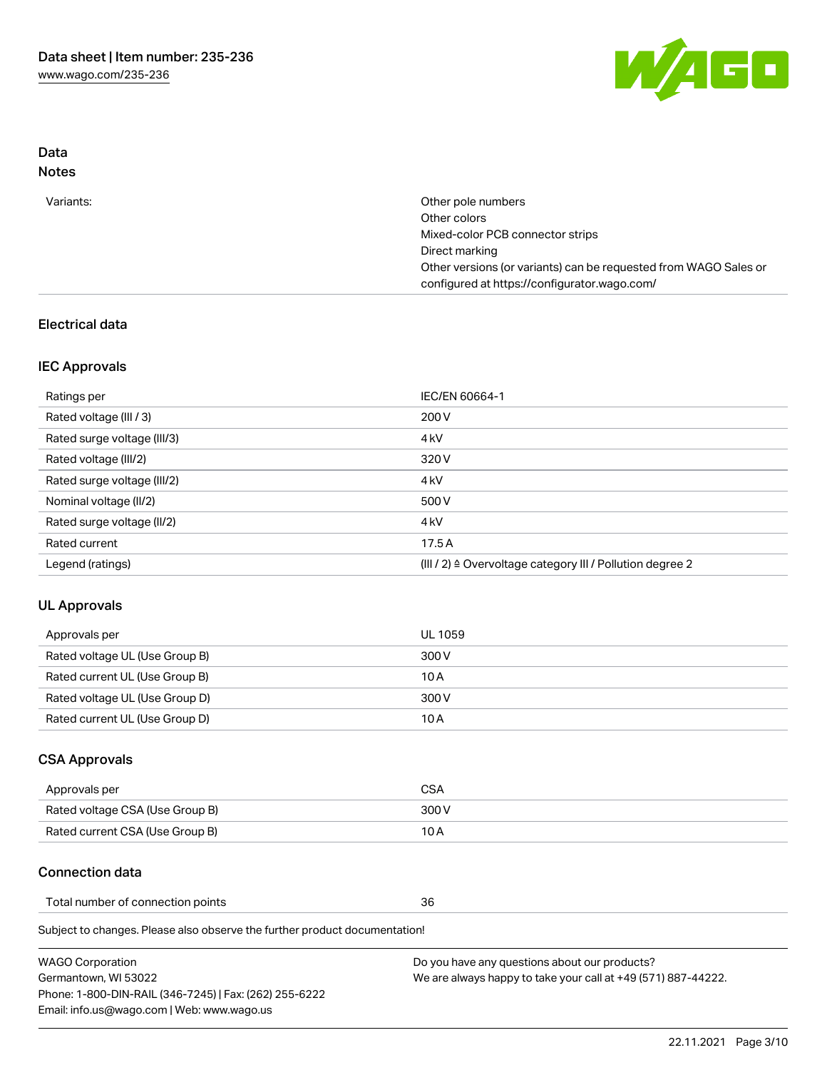

## Data Notes

| Variants: | Other pole numbers                                               |
|-----------|------------------------------------------------------------------|
|           | Other colors                                                     |
|           | Mixed-color PCB connector strips                                 |
|           | Direct marking                                                   |
|           | Other versions (or variants) can be requested from WAGO Sales or |
|           | configured at https://configurator.wago.com/                     |

# Electrical data

## IEC Approvals

| Ratings per                 | IEC/EN 60664-1                                                        |
|-----------------------------|-----------------------------------------------------------------------|
| Rated voltage (III / 3)     | 200 V                                                                 |
| Rated surge voltage (III/3) | 4 <sub>k</sub> V                                                      |
| Rated voltage (III/2)       | 320 V                                                                 |
| Rated surge voltage (III/2) | 4 <sub>k</sub> V                                                      |
| Nominal voltage (II/2)      | 500 V                                                                 |
| Rated surge voltage (II/2)  | 4 <sub>k</sub> V                                                      |
| Rated current               | 17.5A                                                                 |
| Legend (ratings)            | $(III / 2)$ $\triangle$ Overvoltage category III / Pollution degree 2 |

## UL Approvals

| Approvals per                  | UL 1059 |
|--------------------------------|---------|
| Rated voltage UL (Use Group B) | 300 V   |
| Rated current UL (Use Group B) | 10 A    |
| Rated voltage UL (Use Group D) | 300 V   |
| Rated current UL (Use Group D) | 10 A    |

## CSA Approvals

| Approvals per                   | CSA   |
|---------------------------------|-------|
| Rated voltage CSA (Use Group B) | 300 V |
| Rated current CSA (Use Group B) | 10 A  |

# Connection data

Total number of connection points 36

Subject to changes. Please also observe the further product documentation!

| <b>WAGO Corporation</b>                                | Do you have any questions about our products?                 |
|--------------------------------------------------------|---------------------------------------------------------------|
| Germantown, WI 53022                                   | We are always happy to take your call at +49 (571) 887-44222. |
| Phone: 1-800-DIN-RAIL (346-7245)   Fax: (262) 255-6222 |                                                               |
| Email: info.us@wago.com   Web: www.wago.us             |                                                               |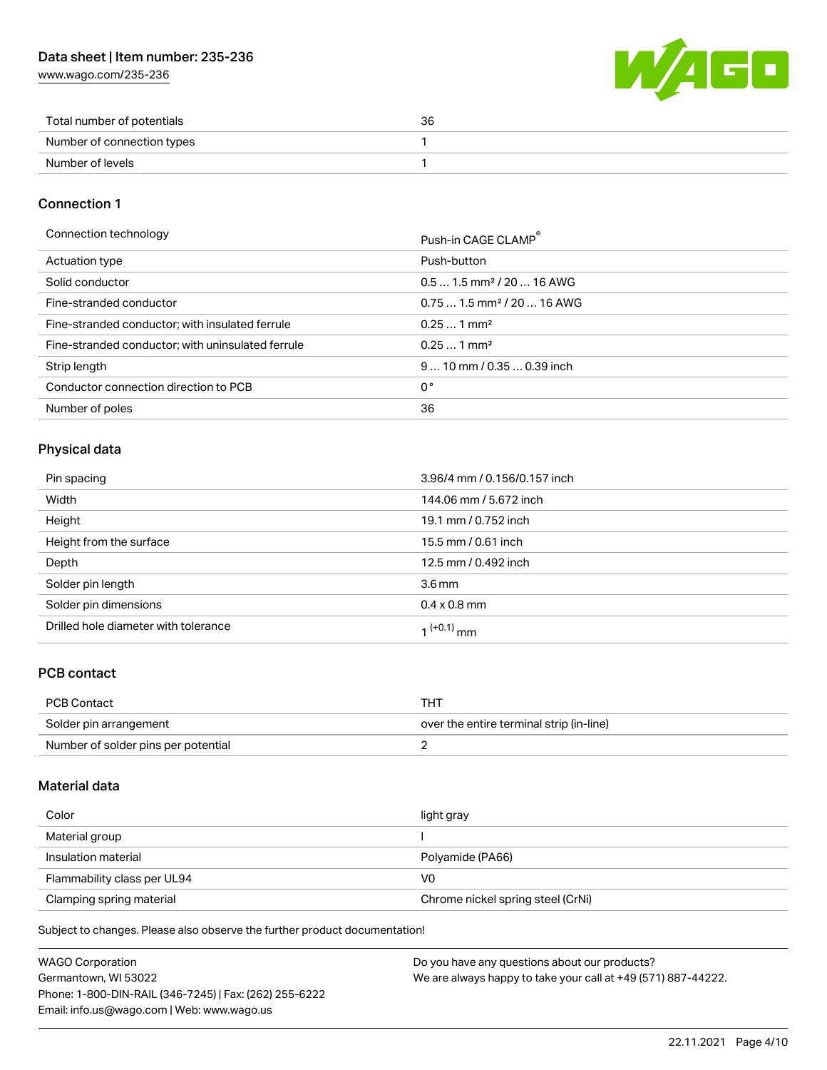[www.wago.com/235-236](http://www.wago.com/235-236)



| Total number of potentials | 36 |
|----------------------------|----|
| Number of connection types |    |
| Number of levels           |    |

## Connection 1

| Connection technology                             | Push-in CAGE CLAMP®                    |
|---------------------------------------------------|----------------------------------------|
| Actuation type                                    | Push-button                            |
| Solid conductor                                   | $0.51.5$ mm <sup>2</sup> / 20  16 AWG  |
| Fine-stranded conductor                           | $0.751.5$ mm <sup>2</sup> / 20  16 AWG |
| Fine-stranded conductor; with insulated ferrule   | $0.251$ mm <sup>2</sup>                |
| Fine-stranded conductor; with uninsulated ferrule | $0.251$ mm <sup>2</sup>                |
| Strip length                                      | $910$ mm / 0.35  0.39 inch             |
| Conductor connection direction to PCB             | 0°                                     |
| Number of poles                                   | 36                                     |

# Physical data

| Pin spacing                          | 3.96/4 mm / 0.156/0.157 inch |
|--------------------------------------|------------------------------|
| Width                                | 144.06 mm / 5.672 inch       |
| Height                               | 19.1 mm / 0.752 inch         |
| Height from the surface              | 15.5 mm / 0.61 inch          |
| Depth                                | 12.5 mm / 0.492 inch         |
| Solder pin length                    | $3.6 \,\mathrm{mm}$          |
| Solder pin dimensions                | $0.4 \times 0.8$ mm          |
| Drilled hole diameter with tolerance | $1^{(+0.1)}$ mm              |

# PCB contact

| PCB Contact                         | тнт                                      |
|-------------------------------------|------------------------------------------|
| Solder pin arrangement              | over the entire terminal strip (in-line) |
| Number of solder pins per potential |                                          |

### Material data

| Color                       | light gray                        |
|-----------------------------|-----------------------------------|
| Material group              |                                   |
| Insulation material         | Polyamide (PA66)                  |
| Flammability class per UL94 | V0                                |
| Clamping spring material    | Chrome nickel spring steel (CrNi) |

Subject to changes. Please also observe the further product documentation!

| <b>WAGO Corporation</b>                                | Do you have any questions about our products?                 |
|--------------------------------------------------------|---------------------------------------------------------------|
| Germantown, WI 53022                                   | We are always happy to take your call at +49 (571) 887-44222. |
| Phone: 1-800-DIN-RAIL (346-7245)   Fax: (262) 255-6222 |                                                               |
| Email: info.us@wago.com   Web: www.wago.us             |                                                               |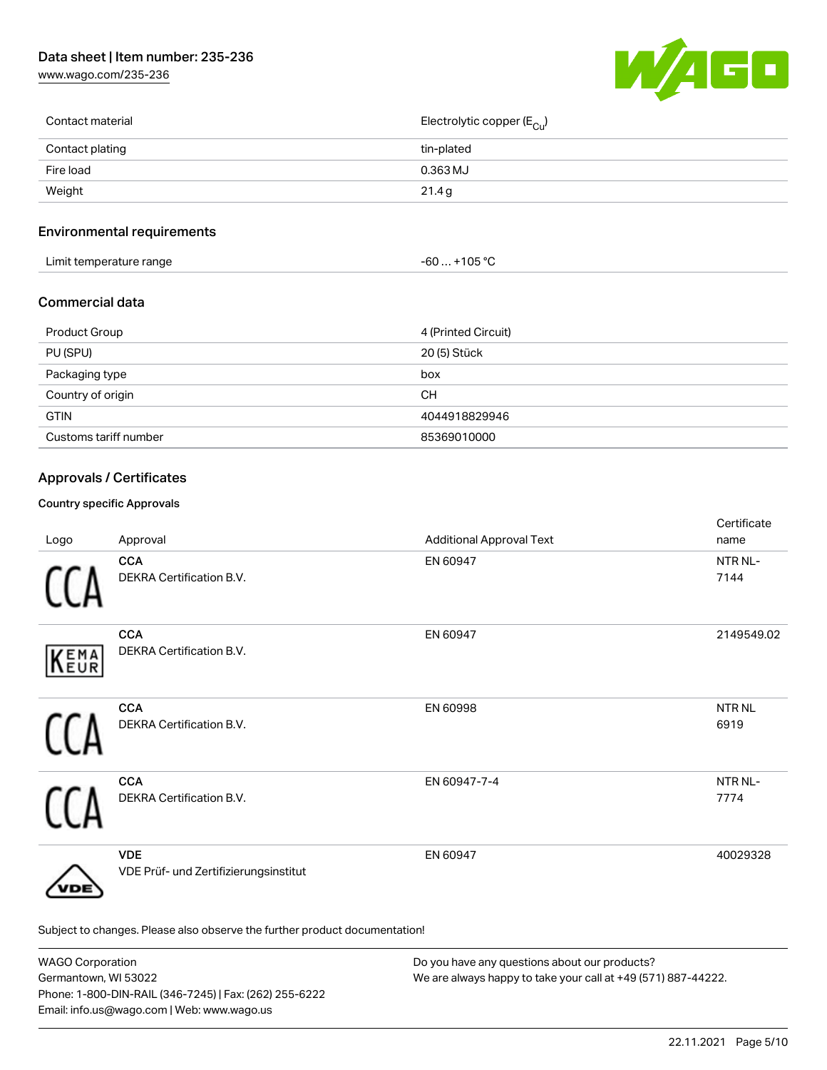[www.wago.com/235-236](http://www.wago.com/235-236)



| Contact material | Electrolytic copper (E <sub>Cu</sub> ) |
|------------------|----------------------------------------|
| Contact plating  | tin-plated                             |
| Fire load        | 0.363 MJ                               |
| Weight           | 21.4 g                                 |
|                  |                                        |

# Environmental requirements

| $+105 °C$<br>Limit temperature range<br>-60 |  |
|---------------------------------------------|--|
|---------------------------------------------|--|

## Commercial data

| Product Group         | 4 (Printed Circuit) |
|-----------------------|---------------------|
| PU (SPU)              | 20 (5) Stück        |
| Packaging type        | box                 |
| Country of origin     | CН                  |
| <b>GTIN</b>           | 4044918829946       |
| Customs tariff number | 85369010000         |

# Approvals / Certificates

# Country specific Approvals

| Logo | Approval                                                                   | <b>Additional Approval Text</b> | Certificate<br>name         |
|------|----------------------------------------------------------------------------|---------------------------------|-----------------------------|
|      | <b>CCA</b><br>DEKRA Certification B.V.                                     | EN 60947                        | NTR NL-<br>7144             |
| KEMA | <b>CCA</b><br><b>DEKRA Certification B.V.</b>                              | EN 60947                        | 2149549.02                  |
|      | <b>CCA</b><br>DEKRA Certification B.V.                                     | EN 60998                        | <b>NTRNL</b><br>6919        |
|      | <b>CCA</b><br>DEKRA Certification B.V.                                     | EN 60947-7-4                    | NTR <sub>NL</sub> -<br>7774 |
| /DE  | <b>VDE</b><br>VDE Prüf- und Zertifizierungsinstitut                        | EN 60947                        | 40029328                    |
|      | Subject to changes. Please also observe the further product documentation! |                                 |                             |

| <b>WAGO Corporation</b>                                | Do you have any questions about our products?                 |
|--------------------------------------------------------|---------------------------------------------------------------|
| Germantown, WI 53022                                   | We are always happy to take your call at +49 (571) 887-44222. |
| Phone: 1-800-DIN-RAIL (346-7245)   Fax: (262) 255-6222 |                                                               |
| Email: info.us@wago.com   Web: www.wago.us             |                                                               |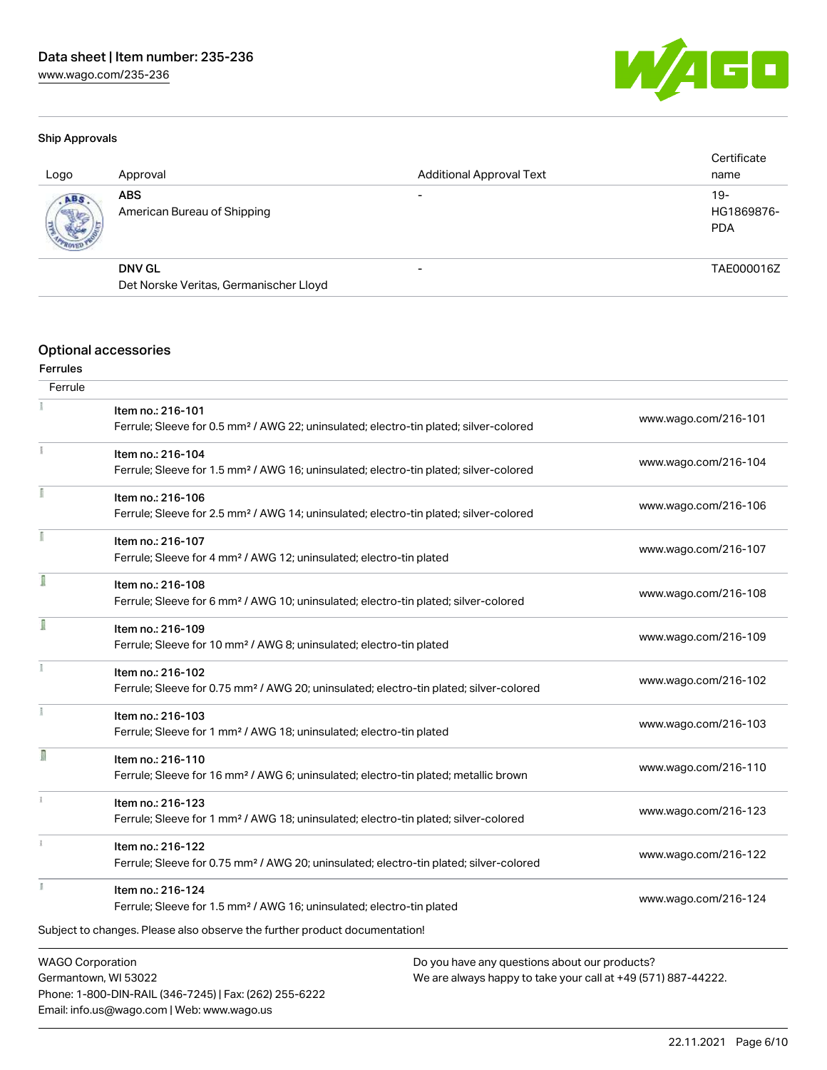

#### Ship Approvals

| Logo | Approval                                  | <b>Additional Approval Text</b> | Certificate<br>name               |
|------|-------------------------------------------|---------------------------------|-----------------------------------|
| ABS  | <b>ABS</b><br>American Bureau of Shipping |                                 | $19-$<br>HG1869876-<br><b>PDA</b> |
|      | <b>DNV GL</b>                             |                                 | TAE000016Z                        |
|      | Det Norske Veritas, Germanischer Lloyd    |                                 |                                   |
|      |                                           |                                 |                                   |

## Optional accessories

#### Ferrules

| Ferrule                 |                                                                                                                        |                      |
|-------------------------|------------------------------------------------------------------------------------------------------------------------|----------------------|
|                         | Item no.: 216-101<br>Ferrule; Sleeve for 0.5 mm <sup>2</sup> / AWG 22; uninsulated; electro-tin plated; silver-colored | www.wago.com/216-101 |
| î.                      | Item no.: 216-104                                                                                                      |                      |
|                         | Ferrule; Sleeve for 1.5 mm <sup>2</sup> / AWG 16; uninsulated; electro-tin plated; silver-colored                      | www.wago.com/216-104 |
|                         | Item no.: 216-106                                                                                                      |                      |
|                         | Ferrule; Sleeve for 2.5 mm <sup>2</sup> / AWG 14; uninsulated; electro-tin plated; silver-colored                      | www.wago.com/216-106 |
|                         | Item no.: 216-107                                                                                                      |                      |
|                         | Ferrule; Sleeve for 4 mm <sup>2</sup> / AWG 12; uninsulated; electro-tin plated                                        | www.wago.com/216-107 |
|                         | Item no.: 216-108                                                                                                      |                      |
|                         | Ferrule; Sleeve for 6 mm <sup>2</sup> / AWG 10; uninsulated; electro-tin plated; silver-colored                        | www.wago.com/216-108 |
|                         | Item no.: 216-109                                                                                                      |                      |
|                         | Ferrule; Sleeve for 10 mm <sup>2</sup> / AWG 8; uninsulated; electro-tin plated                                        | www.wago.com/216-109 |
|                         | Item no.: 216-102                                                                                                      |                      |
|                         | Ferrule; Sleeve for 0.75 mm <sup>2</sup> / AWG 20; uninsulated; electro-tin plated; silver-colored                     | www.wago.com/216-102 |
|                         | Item no.: 216-103                                                                                                      |                      |
|                         | Ferrule; Sleeve for 1 mm <sup>2</sup> / AWG 18; uninsulated; electro-tin plated                                        | www.wago.com/216-103 |
| R                       | Item no.: 216-110                                                                                                      |                      |
|                         | Ferrule; Sleeve for 16 mm <sup>2</sup> / AWG 6; uninsulated; electro-tin plated; metallic brown                        | www.wago.com/216-110 |
|                         | Item no.: 216-123                                                                                                      |                      |
|                         | Ferrule; Sleeve for 1 mm <sup>2</sup> / AWG 18; uninsulated; electro-tin plated; silver-colored                        | www.wago.com/216-123 |
| $\frac{1}{3}$           | Item no.: 216-122                                                                                                      |                      |
|                         | Ferrule; Sleeve for 0.75 mm <sup>2</sup> / AWG 20; uninsulated; electro-tin plated; silver-colored                     | www.wago.com/216-122 |
| k                       | Item no.: 216-124                                                                                                      |                      |
|                         | Ferrule; Sleeve for 1.5 mm <sup>2</sup> / AWG 16; uninsulated; electro-tin plated                                      | www.wago.com/216-124 |
|                         | Subject to changes. Please also observe the further product documentation!                                             |                      |
| <b>WAGO Corporation</b> | Do you have any questions about our products?                                                                          |                      |
|                         |                                                                                                                        |                      |

Germantown, WI 53022 Phone: 1-800-DIN-RAIL (346-7245) | Fax: (262) 255-6222 Email: info.us@wago.com | Web: www.wago.us

We are always happy to take your call at +49 (571) 887-44222.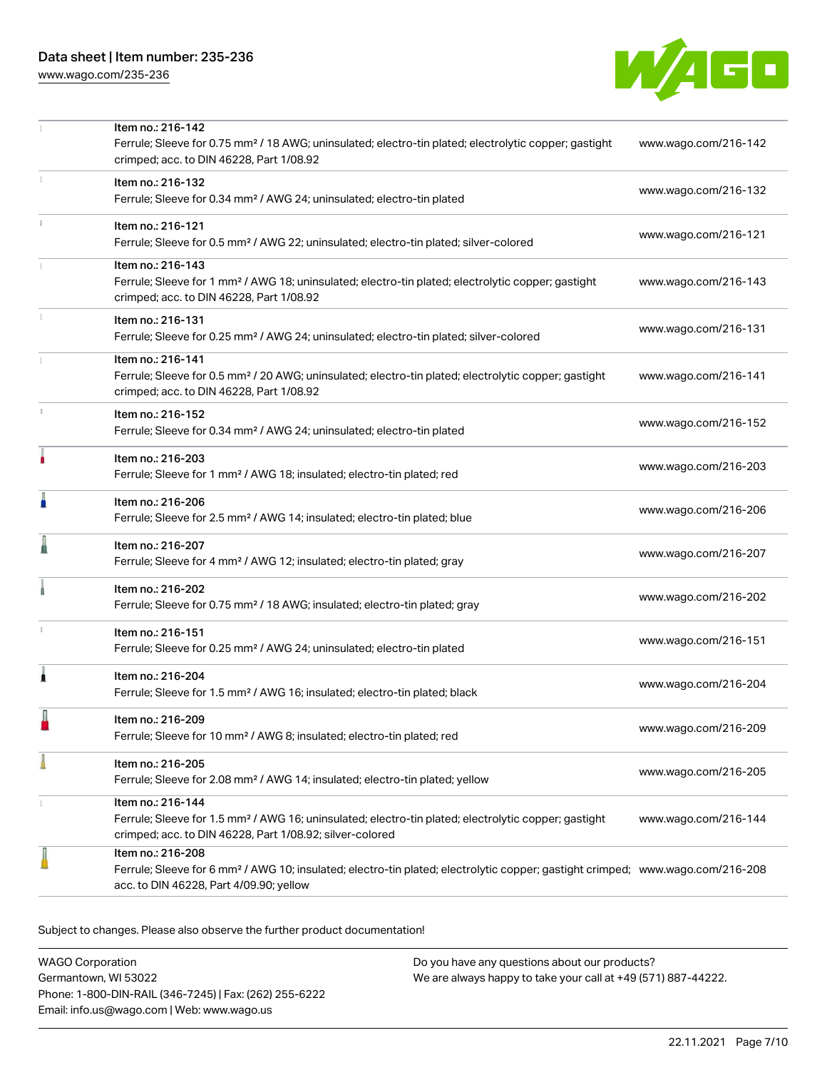[www.wago.com/235-236](http://www.wago.com/235-236)



|    | Item no.: 216-142<br>Ferrule; Sleeve for 0.75 mm <sup>2</sup> / 18 AWG; uninsulated; electro-tin plated; electrolytic copper; gastight<br>crimped; acc. to DIN 46228, Part 1/08.92                         | www.wago.com/216-142 |
|----|------------------------------------------------------------------------------------------------------------------------------------------------------------------------------------------------------------|----------------------|
|    | Item no.: 216-132<br>Ferrule; Sleeve for 0.34 mm <sup>2</sup> / AWG 24; uninsulated; electro-tin plated                                                                                                    | www.wago.com/216-132 |
|    | Item no.: 216-121<br>Ferrule; Sleeve for 0.5 mm <sup>2</sup> / AWG 22; uninsulated; electro-tin plated; silver-colored                                                                                     | www.wago.com/216-121 |
|    | Item no.: 216-143<br>Ferrule; Sleeve for 1 mm <sup>2</sup> / AWG 18; uninsulated; electro-tin plated; electrolytic copper; gastight<br>crimped; acc. to DIN 46228, Part 1/08.92                            | www.wago.com/216-143 |
|    | Item no.: 216-131<br>Ferrule; Sleeve for 0.25 mm <sup>2</sup> / AWG 24; uninsulated; electro-tin plated; silver-colored                                                                                    | www.wago.com/216-131 |
|    | Item no.: 216-141<br>Ferrule; Sleeve for 0.5 mm <sup>2</sup> / 20 AWG; uninsulated; electro-tin plated; electrolytic copper; gastight<br>crimped; acc. to DIN 46228, Part 1/08.92                          | www.wago.com/216-141 |
| ı. | Item no.: 216-152<br>Ferrule; Sleeve for 0.34 mm <sup>2</sup> / AWG 24; uninsulated; electro-tin plated                                                                                                    | www.wago.com/216-152 |
| ۸  | Item no.: 216-203<br>Ferrule; Sleeve for 1 mm <sup>2</sup> / AWG 18; insulated; electro-tin plated; red                                                                                                    | www.wago.com/216-203 |
| I  | Item no.: 216-206<br>Ferrule; Sleeve for 2.5 mm <sup>2</sup> / AWG 14; insulated; electro-tin plated; blue                                                                                                 | www.wago.com/216-206 |
| I  | Item no.: 216-207<br>Ferrule; Sleeve for 4 mm <sup>2</sup> / AWG 12; insulated; electro-tin plated; gray                                                                                                   | www.wago.com/216-207 |
|    | Item no.: 216-202<br>Ferrule; Sleeve for 0.75 mm <sup>2</sup> / 18 AWG; insulated; electro-tin plated; gray                                                                                                | www.wago.com/216-202 |
| ı  | Item no.: 216-151<br>Ferrule; Sleeve for 0.25 mm <sup>2</sup> / AWG 24; uninsulated; electro-tin plated                                                                                                    | www.wago.com/216-151 |
| Â  | Item no.: 216-204<br>Ferrule; Sleeve for 1.5 mm <sup>2</sup> / AWG 16; insulated; electro-tin plated; black                                                                                                | www.wago.com/216-204 |
|    | Item no.: 216-209<br>Ferrule; Sleeve for 10 mm <sup>2</sup> / AWG 8; insulated; electro-tin plated; red                                                                                                    | www.wago.com/216-209 |
|    | Item no.: 216-205<br>Ferrule; Sleeve for 2.08 mm <sup>2</sup> / AWG 14; insulated; electro-tin plated; yellow                                                                                              | www.wago.com/216-205 |
|    | Item no.: 216-144<br>Ferrule; Sleeve for 1.5 mm <sup>2</sup> / AWG 16; uninsulated; electro-tin plated; electrolytic copper; gastight<br>crimped; acc. to DIN 46228, Part 1/08.92; silver-colored          | www.wago.com/216-144 |
|    | Item no.: 216-208<br>Ferrule; Sleeve for 6 mm <sup>2</sup> / AWG 10; insulated; electro-tin plated; electrolytic copper; gastight crimped; www.wago.com/216-208<br>acc. to DIN 46228, Part 4/09.90; yellow |                      |

Subject to changes. Please also observe the further product documentation!

WAGO Corporation Germantown, WI 53022 Phone: 1-800-DIN-RAIL (346-7245) | Fax: (262) 255-6222 Email: info.us@wago.com | Web: www.wago.us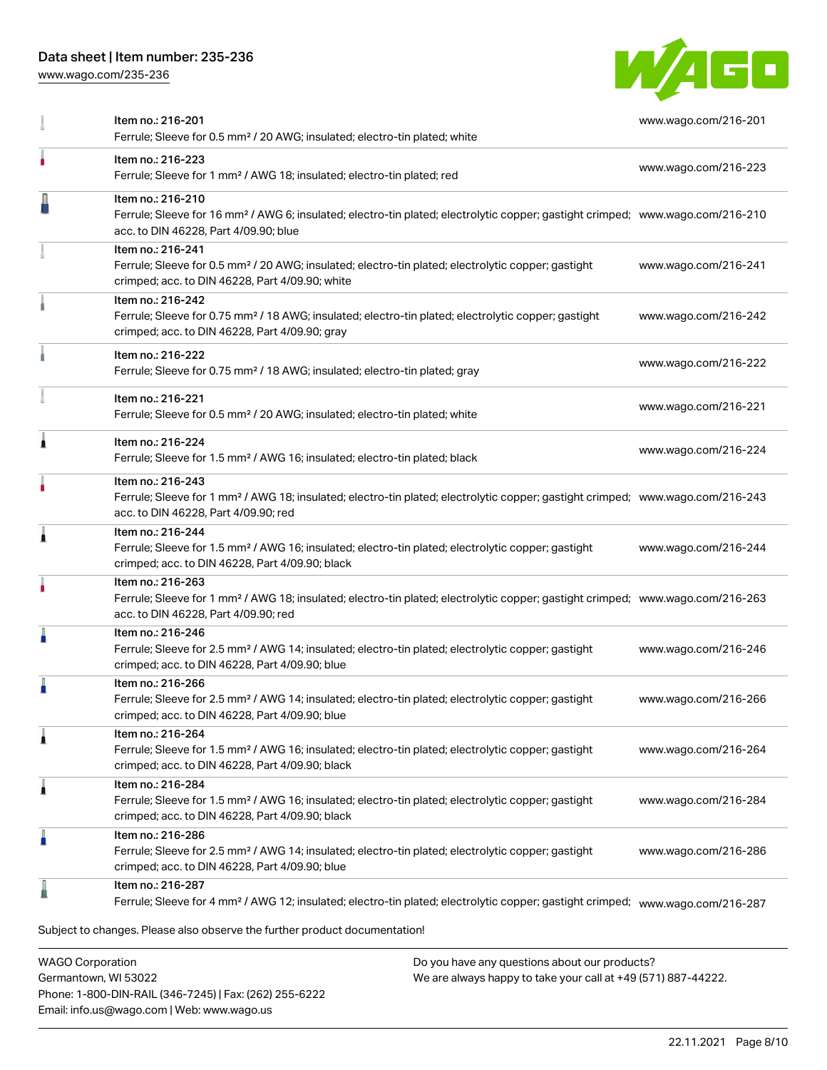[www.wago.com/235-236](http://www.wago.com/235-236)



|   | Item no.: 216-201<br>Ferrule; Sleeve for 0.5 mm <sup>2</sup> / 20 AWG; insulated; electro-tin plated; white                                                                                              | www.wago.com/216-201 |
|---|----------------------------------------------------------------------------------------------------------------------------------------------------------------------------------------------------------|----------------------|
|   | Item no.: 216-223<br>Ferrule; Sleeve for 1 mm <sup>2</sup> / AWG 18; insulated; electro-tin plated; red                                                                                                  | www.wago.com/216-223 |
|   | Item no.: 216-210<br>Ferrule; Sleeve for 16 mm <sup>2</sup> / AWG 6; insulated; electro-tin plated; electrolytic copper; gastight crimped; www.wago.com/216-210<br>acc. to DIN 46228, Part 4/09.90; blue |                      |
|   | Item no.: 216-241<br>Ferrule; Sleeve for 0.5 mm <sup>2</sup> / 20 AWG; insulated; electro-tin plated; electrolytic copper; gastight<br>crimped; acc. to DIN 46228, Part 4/09.90; white                   | www.wago.com/216-241 |
|   | Item no.: 216-242<br>Ferrule; Sleeve for 0.75 mm <sup>2</sup> / 18 AWG; insulated; electro-tin plated; electrolytic copper; gastight<br>crimped; acc. to DIN 46228, Part 4/09.90; gray                   | www.wago.com/216-242 |
|   | Item no.: 216-222<br>Ferrule; Sleeve for 0.75 mm <sup>2</sup> / 18 AWG; insulated; electro-tin plated; gray                                                                                              | www.wago.com/216-222 |
|   | Item no.: 216-221<br>Ferrule; Sleeve for 0.5 mm <sup>2</sup> / 20 AWG; insulated; electro-tin plated; white                                                                                              | www.wago.com/216-221 |
| 1 | Item no.: 216-224<br>Ferrule; Sleeve for 1.5 mm <sup>2</sup> / AWG 16; insulated; electro-tin plated; black                                                                                              | www.wago.com/216-224 |
|   | Item no.: 216-243<br>Ferrule; Sleeve for 1 mm <sup>2</sup> / AWG 18; insulated; electro-tin plated; electrolytic copper; gastight crimped; www.wago.com/216-243<br>acc. to DIN 46228, Part 4/09.90; red  |                      |
| 1 | Item no.: 216-244<br>Ferrule; Sleeve for 1.5 mm <sup>2</sup> / AWG 16; insulated; electro-tin plated; electrolytic copper; gastight<br>crimped; acc. to DIN 46228, Part 4/09.90; black                   | www.wago.com/216-244 |
| ٥ | Item no.: 216-263<br>Ferrule; Sleeve for 1 mm <sup>2</sup> / AWG 18; insulated; electro-tin plated; electrolytic copper; gastight crimped; www.wago.com/216-263<br>acc. to DIN 46228, Part 4/09.90; red  |                      |
| п | Item no.: 216-246<br>Ferrule; Sleeve for 2.5 mm <sup>2</sup> / AWG 14; insulated; electro-tin plated; electrolytic copper; gastight<br>crimped; acc. to DIN 46228, Part 4/09.90; blue                    | www.wago.com/216-246 |
| n | Item no.: 216-266<br>Ferrule; Sleeve for 2.5 mm <sup>2</sup> / AWG 14; insulated; electro-tin plated; electrolytic copper; gastight<br>crimped; acc. to DIN 46228, Part 4/09.90; blue                    | www.wago.com/216-266 |
| 1 | Item no.: 216-264<br>Ferrule; Sleeve for 1.5 mm <sup>2</sup> / AWG 16; insulated; electro-tin plated; electrolytic copper; gastight<br>crimped; acc. to DIN 46228, Part 4/09.90; black                   | www.wago.com/216-264 |
| 1 | Item no.: 216-284<br>Ferrule; Sleeve for 1.5 mm <sup>2</sup> / AWG 16; insulated; electro-tin plated; electrolytic copper; gastight<br>crimped; acc. to DIN 46228, Part 4/09.90; black                   | www.wago.com/216-284 |
| Ë | Item no.: 216-286<br>Ferrule; Sleeve for 2.5 mm <sup>2</sup> / AWG 14; insulated; electro-tin plated; electrolytic copper; gastight<br>crimped; acc. to DIN 46228, Part 4/09.90; blue                    | www.wago.com/216-286 |
|   | Item no.: 216-287<br>Ferrule; Sleeve for 4 mm <sup>2</sup> / AWG 12; insulated; electro-tin plated; electrolytic copper; gastight crimped; www.wago.com/216-287                                          |                      |
|   | Subject to changes. Please also observe the further product documentation!                                                                                                                               |                      |

WAGO Corporation Germantown, WI 53022 Phone: 1-800-DIN-RAIL (346-7245) | Fax: (262) 255-6222 Email: info.us@wago.com | Web: www.wago.us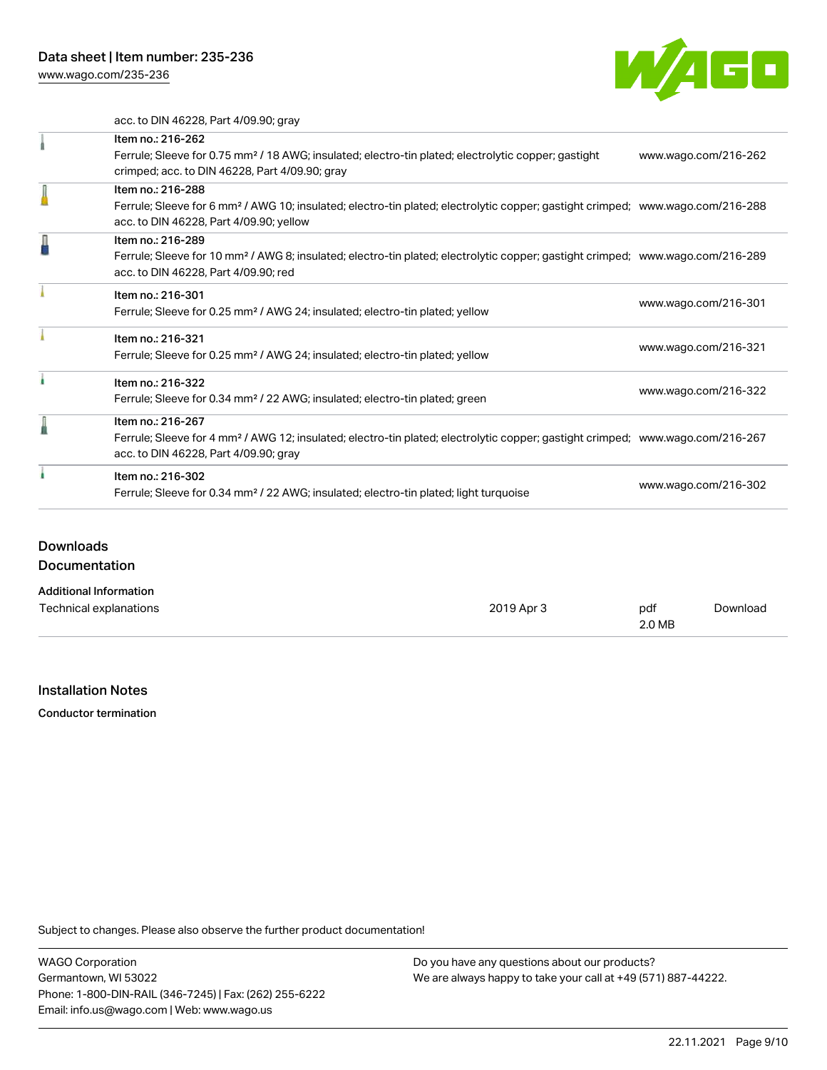[www.wago.com/235-236](http://www.wago.com/235-236)



acc. to DIN 46228, Part 4/09.90; gray

|   | Item no.: 216-262                                                                                                                          |                      |
|---|--------------------------------------------------------------------------------------------------------------------------------------------|----------------------|
|   | Ferrule; Sleeve for 0.75 mm <sup>2</sup> / 18 AWG; insulated; electro-tin plated; electrolytic copper; gastight                            | www.wago.com/216-262 |
|   | crimped; acc. to DIN 46228, Part 4/09.90; gray                                                                                             |                      |
|   | Item no.: 216-288                                                                                                                          |                      |
|   | Ferrule; Sleeve for 6 mm <sup>2</sup> / AWG 10; insulated; electro-tin plated; electrolytic copper; gastight crimped; www.wago.com/216-288 |                      |
|   | acc. to DIN 46228, Part 4/09.90; yellow                                                                                                    |                      |
| Д | Item no.: 216-289                                                                                                                          |                      |
|   | Ferrule; Sleeve for 10 mm <sup>2</sup> / AWG 8; insulated; electro-tin plated; electrolytic copper; gastight crimped; www.wago.com/216-289 |                      |
|   | acc. to DIN 46228, Part 4/09.90; red                                                                                                       |                      |
|   | Item no.: 216-301                                                                                                                          |                      |
|   | Ferrule; Sleeve for 0.25 mm <sup>2</sup> / AWG 24; insulated; electro-tin plated; yellow                                                   | www.wago.com/216-301 |
|   |                                                                                                                                            |                      |
|   | Item no.: 216-321                                                                                                                          | www.wago.com/216-321 |
|   | Ferrule; Sleeve for 0.25 mm <sup>2</sup> / AWG 24; insulated; electro-tin plated; yellow                                                   |                      |
|   | Item no.: 216-322                                                                                                                          |                      |
|   | Ferrule; Sleeve for 0.34 mm <sup>2</sup> / 22 AWG; insulated; electro-tin plated; green                                                    | www.wago.com/216-322 |
|   | Item no.: 216-267                                                                                                                          |                      |
|   | Ferrule; Sleeve for 4 mm <sup>2</sup> / AWG 12; insulated; electro-tin plated; electrolytic copper; gastight crimped; www.wago.com/216-267 |                      |
|   | acc. to DIN 46228, Part 4/09.90; gray                                                                                                      |                      |
|   | Item no.: 216-302                                                                                                                          |                      |
|   |                                                                                                                                            | www.wago.com/216-302 |

# Downloads

Documentation

### Additional Information

| Technical explanations | 2019 Apr 3 | pdf    | Download |
|------------------------|------------|--------|----------|
|                        |            | 2.0 MB |          |

### Installation Notes

Conductor termination

Subject to changes. Please also observe the further product documentation!

WAGO Corporation Germantown, WI 53022 Phone: 1-800-DIN-RAIL (346-7245) | Fax: (262) 255-6222 Email: info.us@wago.com | Web: www.wago.us